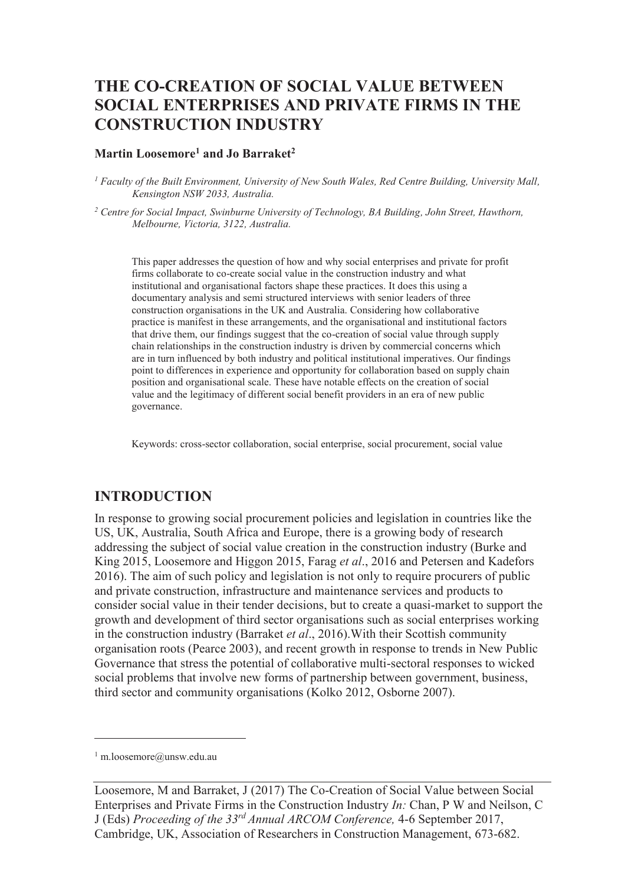# **THE CO-CREATION OF SOCIAL VALUE BETWEEN SOCIAL ENTERPRISES AND PRIVATE FIRMS IN THE CONSTRUCTION INDUSTRY**

#### **Martin Loosemore<sup>1</sup> and Jo Barraket<sup>2</sup>**

<sup>1</sup> Faculty of the Built Environment, University of New South Wales, Red Centre Building, University Mall, *Kensington NSW 2033, Australia.* 

<sup>2</sup> Centre for Social Impact, Swinburne University of Technology, BA Building, John Street, Hawthorn, *Melbourne, Victoria, 3122, Australia.* 

This paper addresses the question of how and why social enterprises and private for profit firms collaborate to co-create social value in the construction industry and what institutional and organisational factors shape these practices. It does this using a documentary analysis and semi structured interviews with senior leaders of three construction organisations in the UK and Australia. Considering how collaborative practice is manifest in these arrangements, and the organisational and institutional factors that drive them, our findings suggest that the co-creation of social value through supply chain relationships in the construction industry is driven by commercial concerns which are in turn influenced by both industry and political institutional imperatives. Our findings point to differences in experience and opportunity for collaboration based on supply chain position and organisational scale. These have notable effects on the creation of social value and the legitimacy of different social benefit providers in an era of new public governance.

Keywords: cross-sector collaboration, social enterprise, social procurement, social value

### **INTRODUCTION**

In response to growing social procurement policies and legislation in countries like the US, UK, Australia, South Africa and Europe, there is a growing body of research addressing the subject of social value creation in the construction industry (Burke and King 2015, Loosemore and Higgon 2015, Farag *et al*., 2016 and Petersen and Kadefors 2016). The aim of such policy and legislation is not only to require procurers of public and private construction, infrastructure and maintenance services and products to consider social value in their tender decisions, but to create a quasi-market to support the growth and development of third sector organisations such as social enterprises working in the construction industry (Barraket *et al*., 2016).With their Scottish community organisation roots (Pearce 2003), and recent growth in response to trends in New Public Governance that stress the potential of collaborative multi-sectoral responses to wicked social problems that involve new forms of partnership between government, business, third sector and community organisations (Kolko 2012, Osborne 2007).

-

<sup>1</sup> m.loosemore@unsw.edu.au

Loosemore, M and Barraket, J (2017) The Co-Creation of Social Value between Social Enterprises and Private Firms in the Construction Industry *In:* Chan, P W and Neilson, C J (Eds) *Proceeding of the 33rd Annual ARCOM Conference,* 4-6 September 2017, Cambridge, UK, Association of Researchers in Construction Management, 673-682.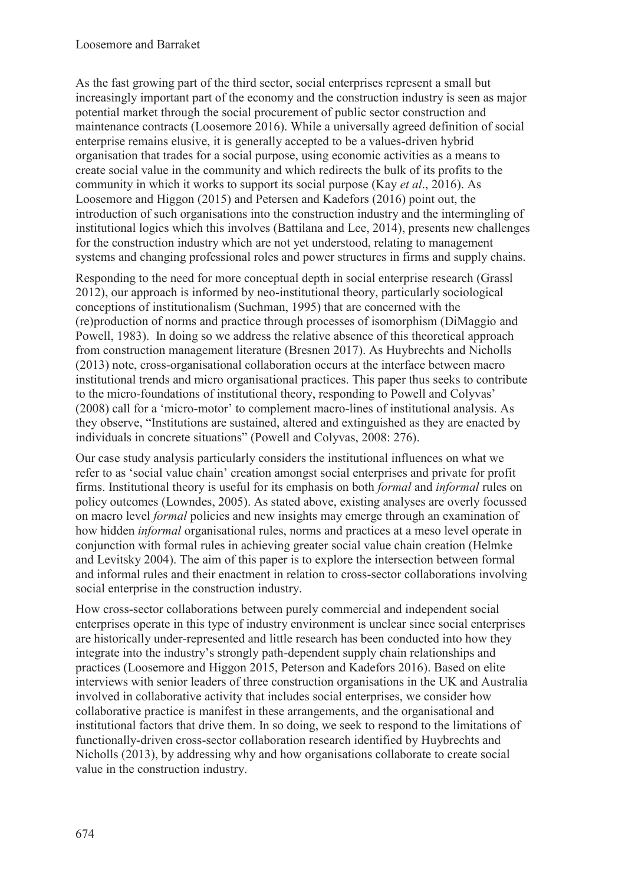As the fast growing part of the third sector, social enterprises represent a small but increasingly important part of the economy and the construction industry is seen as major potential market through the social procurement of public sector construction and maintenance contracts (Loosemore 2016). While a universally agreed definition of social enterprise remains elusive, it is generally accepted to be a values-driven hybrid organisation that trades for a social purpose, using economic activities as a means to create social value in the community and which redirects the bulk of its profits to the community in which it works to support its social purpose (Kay *et al*., 2016). As Loosemore and Higgon (2015) and Petersen and Kadefors (2016) point out, the introduction of such organisations into the construction industry and the intermingling of institutional logics which this involves (Battilana and Lee, 2014), presents new challenges for the construction industry which are not yet understood, relating to management systems and changing professional roles and power structures in firms and supply chains.

Responding to the need for more conceptual depth in social enterprise research (Grassl 2012), our approach is informed by neo-institutional theory, particularly sociological conceptions of institutionalism (Suchman, 1995) that are concerned with the (re)production of norms and practice through processes of isomorphism (DiMaggio and Powell, 1983). In doing so we address the relative absence of this theoretical approach from construction management literature (Bresnen 2017). As Huybrechts and Nicholls (2013) note, cross-organisational collaboration occurs at the interface between macro institutional trends and micro organisational practices. This paper thus seeks to contribute to the micro-foundations of institutional theory, responding to Powell and Colyvas' (2008) call for a 'micro-motor' to complement macro-lines of institutional analysis. As they observe, "Institutions are sustained, altered and extinguished as they are enacted by individuals in concrete situations" (Powell and Colyvas, 2008: 276).

Our case study analysis particularly considers the institutional influences on what we refer to as 'social value chain' creation amongst social enterprises and private for profit firms. Institutional theory is useful for its emphasis on both *formal* and *informal* rules on policy outcomes (Lowndes, 2005). As stated above, existing analyses are overly focussed on macro level *formal* policies and new insights may emerge through an examination of how hidden *informal* organisational rules, norms and practices at a meso level operate in conjunction with formal rules in achieving greater social value chain creation (Helmke and Levitsky 2004). The aim of this paper is to explore the intersection between formal and informal rules and their enactment in relation to cross-sector collaborations involving social enterprise in the construction industry.

How cross-sector collaborations between purely commercial and independent social enterprises operate in this type of industry environment is unclear since social enterprises are historically under-represented and little research has been conducted into how they integrate into the industry's strongly path-dependent supply chain relationships and practices (Loosemore and Higgon 2015, Peterson and Kadefors 2016). Based on elite interviews with senior leaders of three construction organisations in the UK and Australia involved in collaborative activity that includes social enterprises, we consider how collaborative practice is manifest in these arrangements, and the organisational and institutional factors that drive them. In so doing, we seek to respond to the limitations of functionally-driven cross-sector collaboration research identified by Huybrechts and Nicholls (2013), by addressing why and how organisations collaborate to create social value in the construction industry.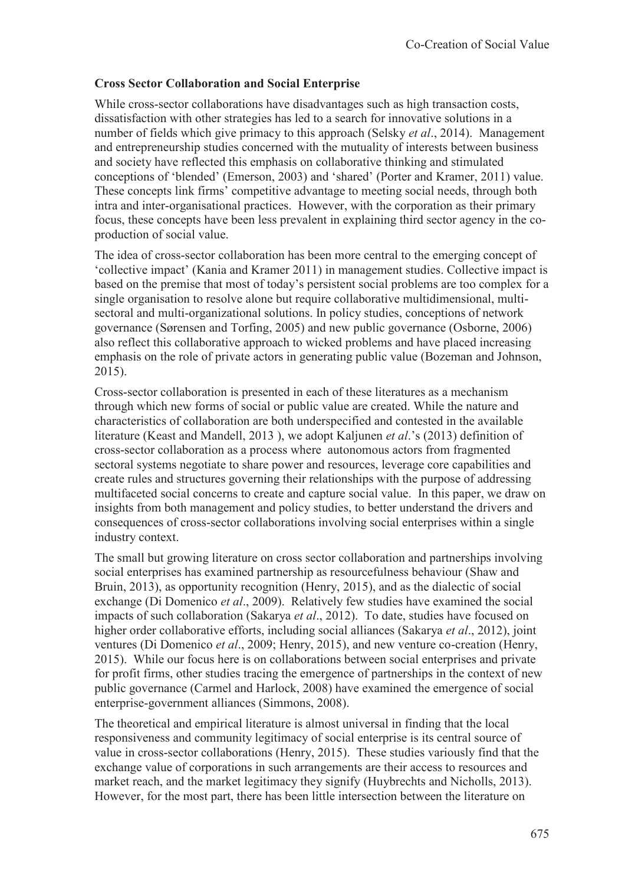### **Cross Sector Collaboration and Social Enterprise**

While cross-sector collaborations have disadvantages such as high transaction costs, dissatisfaction with other strategies has led to a search for innovative solutions in a number of fields which give primacy to this approach (Selsky *et al*., 2014). Management and entrepreneurship studies concerned with the mutuality of interests between business and society have reflected this emphasis on collaborative thinking and stimulated conceptions of 'blended' (Emerson, 2003) and 'shared' (Porter and Kramer, 2011) value. These concepts link firms' competitive advantage to meeting social needs, through both intra and inter-organisational practices. However, with the corporation as their primary focus, these concepts have been less prevalent in explaining third sector agency in the coproduction of social value.

The idea of cross-sector collaboration has been more central to the emerging concept of 'collective impact' (Kania and Kramer 2011) in management studies. Collective impact is based on the premise that most of today's persistent social problems are too complex for a single organisation to resolve alone but require collaborative multidimensional, multisectoral and multi-organizational solutions. In policy studies, conceptions of network governance (Sørensen and Torfing, 2005) and new public governance (Osborne, 2006) also reflect this collaborative approach to wicked problems and have placed increasing emphasis on the role of private actors in generating public value (Bozeman and Johnson, 2015).

Cross-sector collaboration is presented in each of these literatures as a mechanism through which new forms of social or public value are created. While the nature and characteristics of collaboration are both underspecified and contested in the available literature (Keast and Mandell, 2013 ), we adopt Kaljunen *et al*.'s (2013) definition of cross-sector collaboration as a process where autonomous actors from fragmented sectoral systems negotiate to share power and resources, leverage core capabilities and create rules and structures governing their relationships with the purpose of addressing multifaceted social concerns to create and capture social value. In this paper, we draw on insights from both management and policy studies, to better understand the drivers and consequences of cross-sector collaborations involving social enterprises within a single industry context.

The small but growing literature on cross sector collaboration and partnerships involving social enterprises has examined partnership as resourcefulness behaviour (Shaw and Bruin, 2013), as opportunity recognition (Henry, 2015), and as the dialectic of social exchange (Di Domenico *et al*., 2009). Relatively few studies have examined the social impacts of such collaboration (Sakarya *et al*., 2012). To date, studies have focused on higher order collaborative efforts, including social alliances (Sakarya *et al*., 2012), joint ventures (Di Domenico *et al*., 2009; Henry, 2015), and new venture co-creation (Henry, 2015). While our focus here is on collaborations between social enterprises and private for profit firms, other studies tracing the emergence of partnerships in the context of new public governance (Carmel and Harlock, 2008) have examined the emergence of social enterprise-government alliances (Simmons, 2008).

The theoretical and empirical literature is almost universal in finding that the local responsiveness and community legitimacy of social enterprise is its central source of value in cross-sector collaborations (Henry, 2015). These studies variously find that the exchange value of corporations in such arrangements are their access to resources and market reach, and the market legitimacy they signify (Huybrechts and Nicholls, 2013). However, for the most part, there has been little intersection between the literature on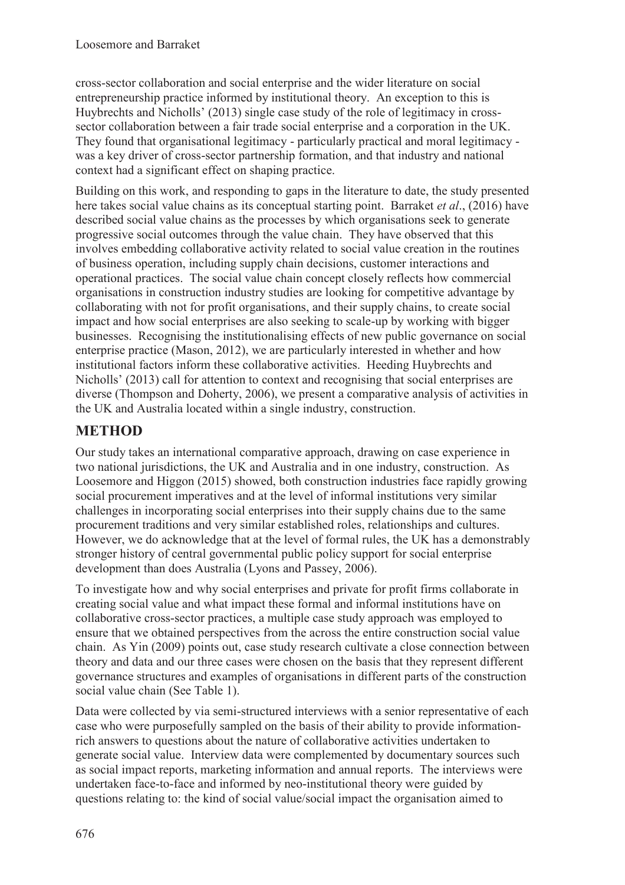cross-sector collaboration and social enterprise and the wider literature on social entrepreneurship practice informed by institutional theory. An exception to this is Huybrechts and Nicholls' (2013) single case study of the role of legitimacy in crosssector collaboration between a fair trade social enterprise and a corporation in the UK. They found that organisational legitimacy - particularly practical and moral legitimacy was a key driver of cross-sector partnership formation, and that industry and national context had a significant effect on shaping practice.

Building on this work, and responding to gaps in the literature to date, the study presented here takes social value chains as its conceptual starting point. Barraket *et al*., (2016) have described social value chains as the processes by which organisations seek to generate progressive social outcomes through the value chain. They have observed that this involves embedding collaborative activity related to social value creation in the routines of business operation, including supply chain decisions, customer interactions and operational practices. The social value chain concept closely reflects how commercial organisations in construction industry studies are looking for competitive advantage by collaborating with not for profit organisations, and their supply chains, to create social impact and how social enterprises are also seeking to scale-up by working with bigger businesses. Recognising the institutionalising effects of new public governance on social enterprise practice (Mason, 2012), we are particularly interested in whether and how institutional factors inform these collaborative activities. Heeding Huybrechts and Nicholls' (2013) call for attention to context and recognising that social enterprises are diverse (Thompson and Doherty, 2006), we present a comparative analysis of activities in the UK and Australia located within a single industry, construction.

# **METHOD**

Our study takes an international comparative approach, drawing on case experience in two national jurisdictions, the UK and Australia and in one industry, construction. As Loosemore and Higgon (2015) showed, both construction industries face rapidly growing social procurement imperatives and at the level of informal institutions very similar challenges in incorporating social enterprises into their supply chains due to the same procurement traditions and very similar established roles, relationships and cultures. However, we do acknowledge that at the level of formal rules, the UK has a demonstrably stronger history of central governmental public policy support for social enterprise development than does Australia (Lyons and Passey, 2006).

To investigate how and why social enterprises and private for profit firms collaborate in creating social value and what impact these formal and informal institutions have on collaborative cross-sector practices, a multiple case study approach was employed to ensure that we obtained perspectives from the across the entire construction social value chain. As Yin (2009) points out, case study research cultivate a close connection between theory and data and our three cases were chosen on the basis that they represent different governance structures and examples of organisations in different parts of the construction social value chain (See Table 1).

Data were collected by via semi-structured interviews with a senior representative of each case who were purposefully sampled on the basis of their ability to provide informationrich answers to questions about the nature of collaborative activities undertaken to generate social value. Interview data were complemented by documentary sources such as social impact reports, marketing information and annual reports. The interviews were undertaken face-to-face and informed by neo-institutional theory were guided by questions relating to: the kind of social value/social impact the organisation aimed to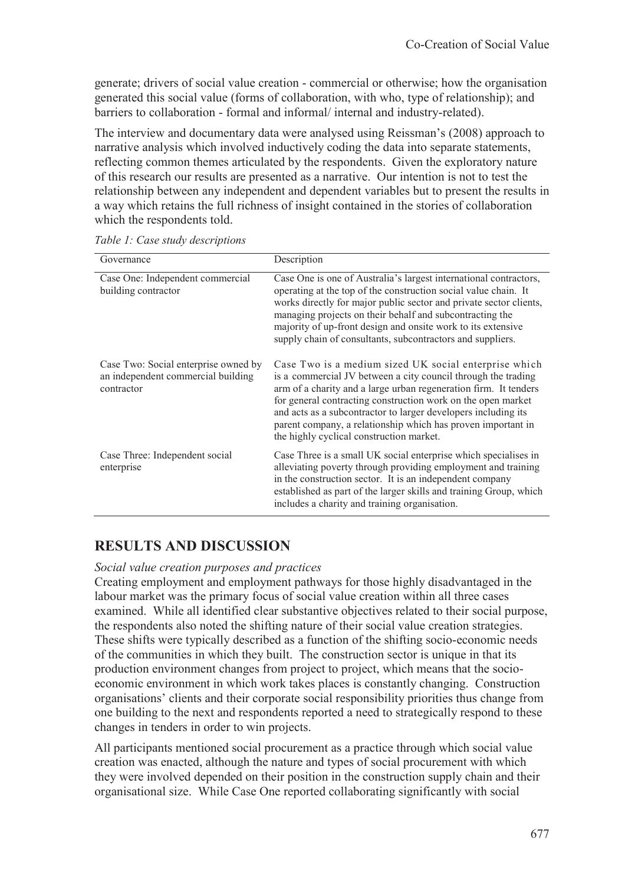generate; drivers of social value creation - commercial or otherwise; how the organisation generated this social value (forms of collaboration, with who, type of relationship); and barriers to collaboration - formal and informal/ internal and industry-related).

The interview and documentary data were analysed using Reissman's (2008) approach to narrative analysis which involved inductively coding the data into separate statements, reflecting common themes articulated by the respondents. Given the exploratory nature of this research our results are presented as a narrative. Our intention is not to test the relationship between any independent and dependent variables but to present the results in a way which retains the full richness of insight contained in the stories of collaboration which the respondents told.

| Governance                                                                               | Description                                                                                                                                                                                                                                                                                                                                                                                                                              |
|------------------------------------------------------------------------------------------|------------------------------------------------------------------------------------------------------------------------------------------------------------------------------------------------------------------------------------------------------------------------------------------------------------------------------------------------------------------------------------------------------------------------------------------|
| Case One: Independent commercial<br>building contractor                                  | Case One is one of Australia's largest international contractors,<br>operating at the top of the construction social value chain. It<br>works directly for major public sector and private sector clients,<br>managing projects on their behalf and subcontracting the<br>majority of up-front design and onsite work to its extensive<br>supply chain of consultants, subcontractors and suppliers.                                     |
| Case Two: Social enterprise owned by<br>an independent commercial building<br>contractor | Case Two is a medium sized UK social enterprise which<br>is a commercial JV between a city council through the trading<br>arm of a charity and a large urban regeneration firm. It tenders<br>for general contracting construction work on the open market<br>and acts as a subcontractor to larger developers including its<br>parent company, a relationship which has proven important in<br>the highly cyclical construction market. |
| Case Three: Independent social<br>enterprise                                             | Case Three is a small UK social enterprise which specialises in<br>alleviating poverty through providing employment and training<br>in the construction sector. It is an independent company<br>established as part of the larger skills and training Group, which<br>includes a charity and training organisation.                                                                                                                      |

*Table 1: Case study descriptions* 

## **RESULTS AND DISCUSSION**

#### *Social value creation purposes and practices*

Creating employment and employment pathways for those highly disadvantaged in the labour market was the primary focus of social value creation within all three cases examined. While all identified clear substantive objectives related to their social purpose, the respondents also noted the shifting nature of their social value creation strategies. These shifts were typically described as a function of the shifting socio-economic needs of the communities in which they built. The construction sector is unique in that its production environment changes from project to project, which means that the socioeconomic environment in which work takes places is constantly changing. Construction organisations' clients and their corporate social responsibility priorities thus change from one building to the next and respondents reported a need to strategically respond to these changes in tenders in order to win projects.

All participants mentioned social procurement as a practice through which social value creation was enacted, although the nature and types of social procurement with which they were involved depended on their position in the construction supply chain and their organisational size. While Case One reported collaborating significantly with social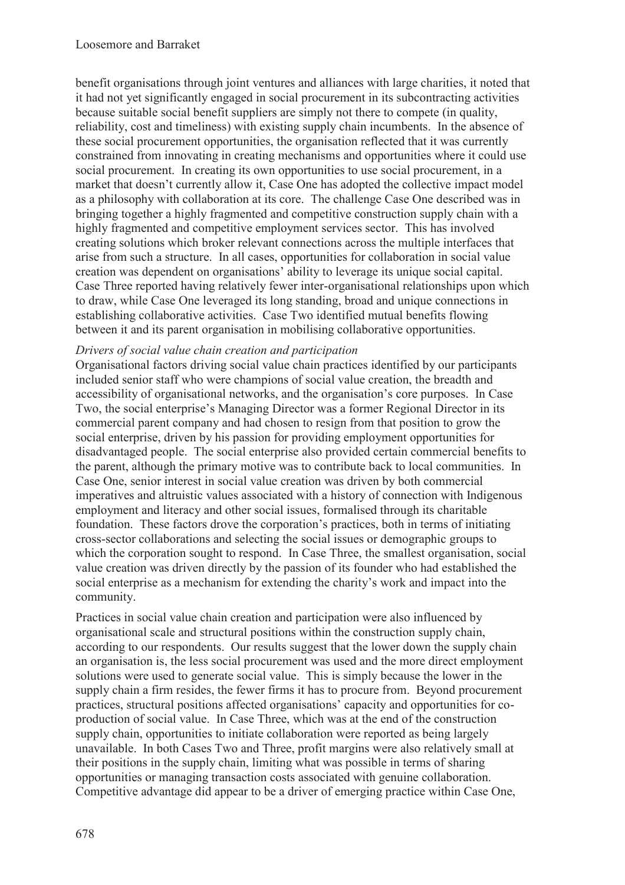benefit organisations through joint ventures and alliances with large charities, it noted that it had not yet significantly engaged in social procurement in its subcontracting activities because suitable social benefit suppliers are simply not there to compete (in quality, reliability, cost and timeliness) with existing supply chain incumbents. In the absence of these social procurement opportunities, the organisation reflected that it was currently constrained from innovating in creating mechanisms and opportunities where it could use social procurement. In creating its own opportunities to use social procurement, in a market that doesn't currently allow it, Case One has adopted the collective impact model as a philosophy with collaboration at its core. The challenge Case One described was in bringing together a highly fragmented and competitive construction supply chain with a highly fragmented and competitive employment services sector. This has involved creating solutions which broker relevant connections across the multiple interfaces that arise from such a structure. In all cases, opportunities for collaboration in social value creation was dependent on organisations' ability to leverage its unique social capital. Case Three reported having relatively fewer inter-organisational relationships upon which to draw, while Case One leveraged its long standing, broad and unique connections in establishing collaborative activities. Case Two identified mutual benefits flowing between it and its parent organisation in mobilising collaborative opportunities.

#### *Drivers of social value chain creation and participation*

Organisational factors driving social value chain practices identified by our participants included senior staff who were champions of social value creation, the breadth and accessibility of organisational networks, and the organisation's core purposes. In Case Two, the social enterprise's Managing Director was a former Regional Director in its commercial parent company and had chosen to resign from that position to grow the social enterprise, driven by his passion for providing employment opportunities for disadvantaged people. The social enterprise also provided certain commercial benefits to the parent, although the primary motive was to contribute back to local communities. In Case One, senior interest in social value creation was driven by both commercial imperatives and altruistic values associated with a history of connection with Indigenous employment and literacy and other social issues, formalised through its charitable foundation. These factors drove the corporation's practices, both in terms of initiating cross-sector collaborations and selecting the social issues or demographic groups to which the corporation sought to respond. In Case Three, the smallest organisation, social value creation was driven directly by the passion of its founder who had established the social enterprise as a mechanism for extending the charity's work and impact into the community.

Practices in social value chain creation and participation were also influenced by organisational scale and structural positions within the construction supply chain, according to our respondents. Our results suggest that the lower down the supply chain an organisation is, the less social procurement was used and the more direct employment solutions were used to generate social value. This is simply because the lower in the supply chain a firm resides, the fewer firms it has to procure from. Beyond procurement practices, structural positions affected organisations' capacity and opportunities for coproduction of social value. In Case Three, which was at the end of the construction supply chain, opportunities to initiate collaboration were reported as being largely unavailable. In both Cases Two and Three, profit margins were also relatively small at their positions in the supply chain, limiting what was possible in terms of sharing opportunities or managing transaction costs associated with genuine collaboration. Competitive advantage did appear to be a driver of emerging practice within Case One,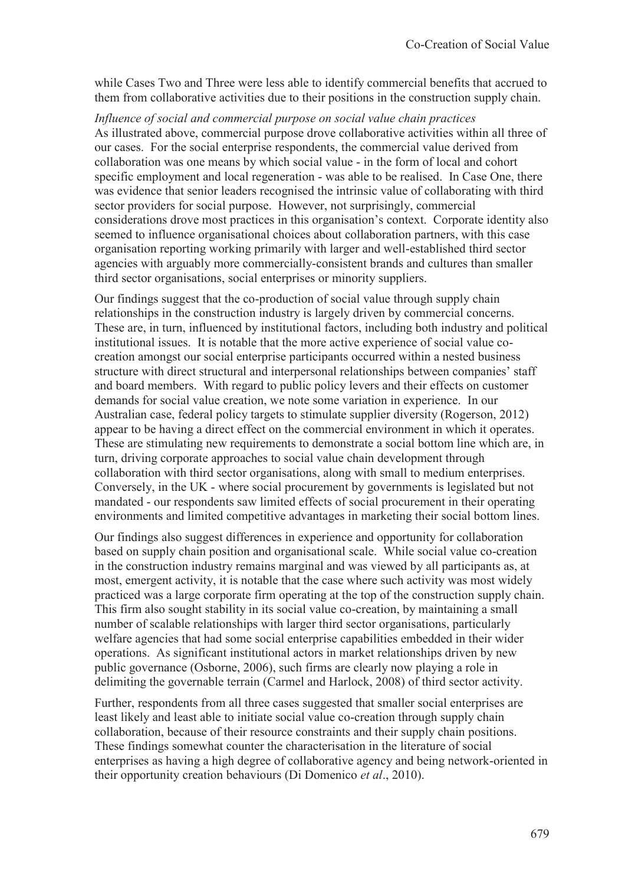while Cases Two and Three were less able to identify commercial benefits that accrued to them from collaborative activities due to their positions in the construction supply chain.

*Influence of social and commercial purpose on social value chain practices*  As illustrated above, commercial purpose drove collaborative activities within all three of our cases. For the social enterprise respondents, the commercial value derived from collaboration was one means by which social value - in the form of local and cohort specific employment and local regeneration - was able to be realised. In Case One, there was evidence that senior leaders recognised the intrinsic value of collaborating with third sector providers for social purpose. However, not surprisingly, commercial considerations drove most practices in this organisation's context. Corporate identity also seemed to influence organisational choices about collaboration partners, with this case organisation reporting working primarily with larger and well-established third sector agencies with arguably more commercially-consistent brands and cultures than smaller third sector organisations, social enterprises or minority suppliers.

Our findings suggest that the co-production of social value through supply chain relationships in the construction industry is largely driven by commercial concerns. These are, in turn, influenced by institutional factors, including both industry and political institutional issues. It is notable that the more active experience of social value cocreation amongst our social enterprise participants occurred within a nested business structure with direct structural and interpersonal relationships between companies' staff and board members. With regard to public policy levers and their effects on customer demands for social value creation, we note some variation in experience. In our Australian case, federal policy targets to stimulate supplier diversity (Rogerson, 2012) appear to be having a direct effect on the commercial environment in which it operates. These are stimulating new requirements to demonstrate a social bottom line which are, in turn, driving corporate approaches to social value chain development through collaboration with third sector organisations, along with small to medium enterprises. Conversely, in the UK - where social procurement by governments is legislated but not mandated - our respondents saw limited effects of social procurement in their operating environments and limited competitive advantages in marketing their social bottom lines.

Our findings also suggest differences in experience and opportunity for collaboration based on supply chain position and organisational scale. While social value co-creation in the construction industry remains marginal and was viewed by all participants as, at most, emergent activity, it is notable that the case where such activity was most widely practiced was a large corporate firm operating at the top of the construction supply chain. This firm also sought stability in its social value co-creation, by maintaining a small number of scalable relationships with larger third sector organisations, particularly welfare agencies that had some social enterprise capabilities embedded in their wider operations. As significant institutional actors in market relationships driven by new public governance (Osborne, 2006), such firms are clearly now playing a role in delimiting the governable terrain (Carmel and Harlock, 2008) of third sector activity.

Further, respondents from all three cases suggested that smaller social enterprises are least likely and least able to initiate social value co-creation through supply chain collaboration, because of their resource constraints and their supply chain positions. These findings somewhat counter the characterisation in the literature of social enterprises as having a high degree of collaborative agency and being network-oriented in their opportunity creation behaviours (Di Domenico *et al*., 2010).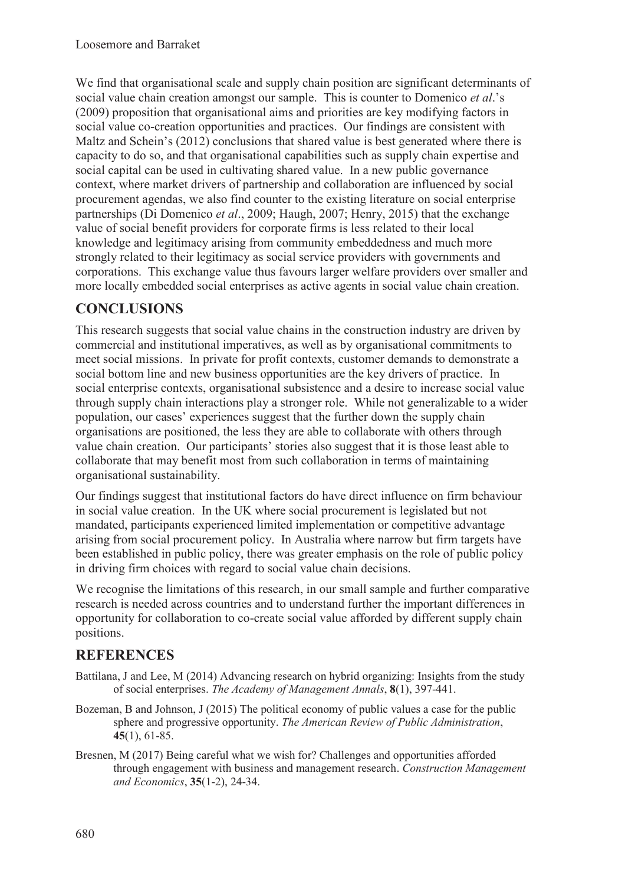We find that organisational scale and supply chain position are significant determinants of social value chain creation amongst our sample. This is counter to Domenico *et al*.'s (2009) proposition that organisational aims and priorities are key modifying factors in social value co-creation opportunities and practices. Our findings are consistent with Maltz and Schein's (2012) conclusions that shared value is best generated where there is capacity to do so, and that organisational capabilities such as supply chain expertise and social capital can be used in cultivating shared value. In a new public governance context, where market drivers of partnership and collaboration are influenced by social procurement agendas, we also find counter to the existing literature on social enterprise partnerships (Di Domenico *et al*., 2009; Haugh, 2007; Henry, 2015) that the exchange value of social benefit providers for corporate firms is less related to their local knowledge and legitimacy arising from community embeddedness and much more strongly related to their legitimacy as social service providers with governments and corporations. This exchange value thus favours larger welfare providers over smaller and more locally embedded social enterprises as active agents in social value chain creation.

## **CONCLUSIONS**

This research suggests that social value chains in the construction industry are driven by commercial and institutional imperatives, as well as by organisational commitments to meet social missions. In private for profit contexts, customer demands to demonstrate a social bottom line and new business opportunities are the key drivers of practice. In social enterprise contexts, organisational subsistence and a desire to increase social value through supply chain interactions play a stronger role. While not generalizable to a wider population, our cases' experiences suggest that the further down the supply chain organisations are positioned, the less they are able to collaborate with others through value chain creation. Our participants' stories also suggest that it is those least able to collaborate that may benefit most from such collaboration in terms of maintaining organisational sustainability.

Our findings suggest that institutional factors do have direct influence on firm behaviour in social value creation. In the UK where social procurement is legislated but not mandated, participants experienced limited implementation or competitive advantage arising from social procurement policy. In Australia where narrow but firm targets have been established in public policy, there was greater emphasis on the role of public policy in driving firm choices with regard to social value chain decisions.

We recognise the limitations of this research, in our small sample and further comparative research is needed across countries and to understand further the important differences in opportunity for collaboration to co-create social value afforded by different supply chain positions.

## **REFERENCES**

- Battilana, J and Lee, M (2014) Advancing research on hybrid organizing: Insights from the study of social enterprises. *The Academy of Management Annals*, **8**(1), 397-441.
- Bozeman, B and Johnson, J (2015) The political economy of public values a case for the public sphere and progressive opportunity. *The American Review of Public Administration*, **45**(1), 61-85.
- Bresnen, M (2017) Being careful what we wish for? Challenges and opportunities afforded through engagement with business and management research. *Construction Management and Economics*, **35**(1-2), 24-34.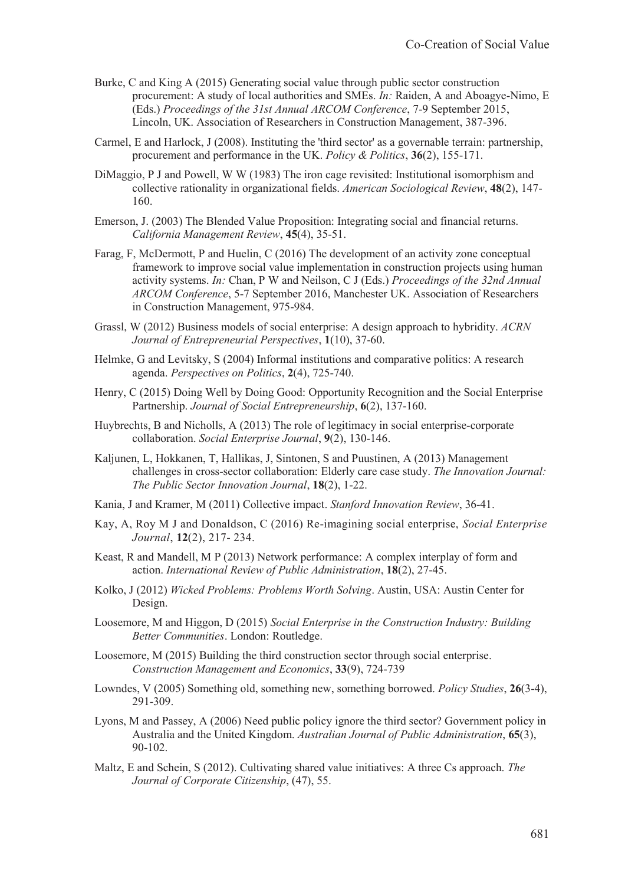- Burke, C and King A (2015) Generating social value through public sector construction procurement: A study of local authorities and SMEs. *In:* Raiden, A and Aboagye-Nimo, E (Eds.) *Proceedings of the 31st Annual ARCOM Conference*, 7-9 September 2015, Lincoln, UK. Association of Researchers in Construction Management, 387-396.
- Carmel, E and Harlock, J (2008). Instituting the 'third sector' as a governable terrain: partnership, procurement and performance in the UK. *Policy & Politics*, **36**(2), 155-171.
- DiMaggio, P J and Powell, W W (1983) The iron cage revisited: Institutional isomorphism and collective rationality in organizational fields. *American Sociological Review*, **48**(2), 147- 160.
- Emerson, J. (2003) The Blended Value Proposition: Integrating social and financial returns. *California Management Review*, **45**(4), 35-51.
- Farag, F, McDermott, P and Huelin, C (2016) The development of an activity zone conceptual framework to improve social value implementation in construction projects using human activity systems. *In:* Chan, P W and Neilson, C J (Eds.) *Proceedings of the 32nd Annual ARCOM Conference*, 5-7 September 2016, Manchester UK. Association of Researchers in Construction Management, 975-984.
- Grassl, W (2012) Business models of social enterprise: A design approach to hybridity. *ACRN Journal of Entrepreneurial Perspectives*, **1**(10), 37-60.
- Helmke, G and Levitsky, S (2004) Informal institutions and comparative politics: A research agenda. *Perspectives on Politics*, **2**(4), 725-740.
- Henry, C (2015) Doing Well by Doing Good: Opportunity Recognition and the Social Enterprise Partnership. *Journal of Social Entrepreneurship*, **6**(2), 137-160.
- Huybrechts, B and Nicholls, A (2013) The role of legitimacy in social enterprise‐corporate collaboration. *Social Enterprise Journal*, **9**(2), 130-146.
- Kaljunen, L, Hokkanen, T, Hallikas, J, Sintonen, S and Puustinen, A (2013) Management challenges in cross-sector collaboration: Elderly care case study. *The Innovation Journal: The Public Sector Innovation Journal*, **18**(2), 1-22.
- Kania, J and Kramer, M (2011) Collective impact. *Stanford Innovation Review*, 36-41.
- Kay, A, Roy M J and Donaldson, C (2016) Re-imagining social enterprise, *Social Enterprise Journal*, **12**(2), 217- 234.
- Keast, R and Mandell, M P (2013) Network performance: A complex interplay of form and action. *International Review of Public Administration*, **18**(2), 27-45.
- Kolko, J (2012) *Wicked Problems: Problems Worth Solving*. Austin, USA: Austin Center for Design.
- Loosemore, M and Higgon, D (2015) *Social Enterprise in the Construction Industry: Building Better Communities*. London: Routledge.
- Loosemore, M (2015) Building the third construction sector through social enterprise. *Construction Management and Economics*, **33**(9), 724-739
- Lowndes, V (2005) Something old, something new, something borrowed. *Policy Studies*, **26**(3-4), 291-309.
- Lyons, M and Passey, A (2006) Need public policy ignore the third sector? Government policy in Australia and the United Kingdom. *Australian Journal of Public Administration*, **65**(3), 90-102.
- Maltz, E and Schein, S (2012). Cultivating shared value initiatives: A three Cs approach. *The Journal of Corporate Citizenship*, (47), 55.